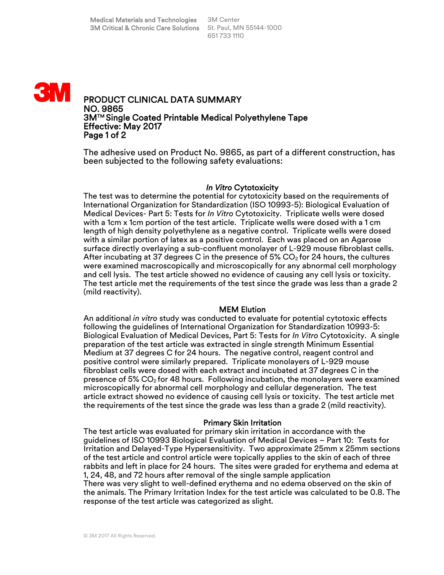

The adhesive used on Product No. 9865, as part of a different construction, has been subjected to the following safety evaluations:

## *In Vitro* Cytotoxicity

The test was to determine the potential for cytotoxicity based on the requirements of International Organization for Standardization (ISO 10993-5): Biological Evaluation of Medical Devices- Part 5: Tests for *In Vitro* Cytotoxicity. Triplicate wells were dosed with a 1cm x 1cm portion of the test article. Triplicate wells were dosed with a 1 cm length of high density polyethylene as a negative control. Triplicate wells were dosed with a similar portion of latex as a positive control. Each was placed on an Agarose surface directly overlaying a sub-confluent monolayer of L-929 mouse fibroblast cells. After incubating at 37 degrees C in the presence of 5%  $CO<sub>2</sub>$  for 24 hours, the cultures were examined macroscopically and microscopically for any abnormal cell morphology and cell lysis. The test article showed no evidence of causing any cell lysis or toxicity. The test article met the requirements of the test since the grade was less than a grade 2 (mild reactivity).

## MEM Elution

An additional *in vitro* study was conducted to evaluate for potential cytotoxic effects following the guidelines of International Organization for Standardization 10993-5: Biological Evaluation of Medical Devices, Part 5: Tests for *In Vitro* Cytotoxicity. A single preparation of the test article was extracted in single strength Minimum Essential Medium at 37 degrees C for 24 hours. The negative control, reagent control and positive control were similarly prepared. Triplicate monolayers of L-929 mouse fibroblast cells were dosed with each extract and incubated at 37 degrees C in the presence of 5%  $CO<sub>2</sub>$  for 48 hours. Following incubation, the monolayers were examined microscopically for abnormal cell morphology and cellular degeneration. The test article extract showed no evidence of causing cell lysis or toxicity. The test article met the requirements of the test since the grade was less than a grade 2 (mild reactivity).

#### Primary Skin Irritation

The test article was evaluated for primary skin irritation in accordance with the guidelines of ISO 10993 Biological Evaluation of Medical Devices – Part 10: Tests for Irritation and Delayed-Type Hypersensitivity. Two approximate 25mm x 25mm sections of the test article and control article were topically applies to the skin of each of three rabbits and left in place for 24 hours. The sites were graded for erythema and edema at 1, 24, 48, and 72 hours after removal of the single sample application There was very slight to well-defined erythema and no edema observed on the skin of the animals. The Primary Irritation Index for the test article was calculated to be 0.8. The response of the test article was categorized as slight.